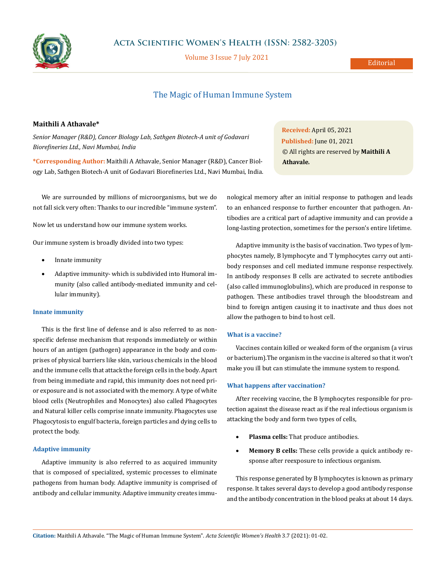

Volume 3 Issue 7 July 2021

# The Magic of Human Immune System

# **Maithili A Athavale\***

*Senior Manager (R&D), Cancer Biology Lab, Sathgen Biotech-A unit of Godavari Biorefineries Ltd., Navi Mumbai, India*

**\*Corresponding Author:** Maithili A Athavale, Senior Manager (R&D), Cancer Biology Lab, Sathgen Biotech-A unit of Godavari Biorefineries Ltd., Navi Mumbai, India.

We are surrounded by millions of microorganisms, but we do not fall sick very often: Thanks to our incredible "immune system".

Now let us understand how our immune system works.

Our immune system is broadly divided into two types:

- Innate immunity
- Adaptive immunity- which is subdivided into Humoral immunity (also called antibody-mediated immunity and cellular immunity).

## **Innate immunity**

This is the first line of defense and is also referred to as nonspecific defense mechanism that responds immediately or within hours of an antigen (pathogen) appearance in the body and comprises of physical barriers like skin, various chemicals in the blood and the immune cells that attack the foreign cells in the body. Apart from being immediate and rapid, this immunity does not need prior exposure and is not associated with the memory. A type of white blood cells (Neutrophiles and Monocytes) also called Phagocytes and Natural killer cells comprise innate immunity. Phagocytes use Phagocytosis to engulf bacteria, foreign particles and dying cells to protect the body.

### **Adaptive immunity**

Adaptive immunity is also referred to as acquired immunity that is composed of specialized, systemic processes to eliminate pathogens from human body. Adaptive immunity is comprised of antibody and cellular immunity. Adaptive immunity creates immu-

**Received:** April 05, 2021 **Published:** June 01, 2021 © All rights are reserved by **Maithili A Athavale***.*

nological memory after an initial response to pathogen and leads to an enhanced response to further encounter that pathogen. Antibodies are a critical part of adaptive immunity and can provide a long-lasting protection, sometimes for the person's entire lifetime.

Adaptive immunity is the basis of vaccination. Two types of lymphocytes namely, B lymphocyte and T lymphocytes carry out antibody responses and cell mediated immune response respectively. In antibody responses B cells are activated to secrete antibodies (also called immunoglobulins), which are produced in response to pathogen. These antibodies travel through the bloodstream and bind to foreign antigen causing it to inactivate and thus does not allow the pathogen to bind to host cell.

#### **What is a vaccine?**

Vaccines contain killed or weaked form of the organism (a virus or bacterium).The organism in the vaccine is altered so that it won't make you ill but can stimulate the immune system to respond.

#### **What happens after vaccination?**

After receiving vaccine, the B lymphocytes responsible for protection against the disease react as if the real infectious organism is attacking the body and form two types of cells,

- Plasma cells: That produce antibodies.
- **Memory B cells:** These cells provide a quick antibody response after reexposure to infectious organism.

This response generated by B lymphocytes is known as primary response. It takes several days to develop a good antibody response and the antibody concentration in the blood peaks at about 14 days.